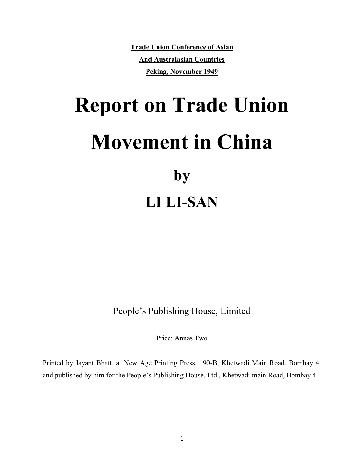**Trade Union Conference of Asian And Australasian Countries Peking, November 1949**

# **Report on Trade Union Movement in China by LI LI-SAN**

People's Publishing House, Limited

Price: Annas Two

Printed by Jayant Bhatt, at New Age Printing Press, 190-B, Khetwadi Main Road, Bombay 4, and published by him for the People's Publishing House, Ltd., Khetwadi main Road, Bombay 4.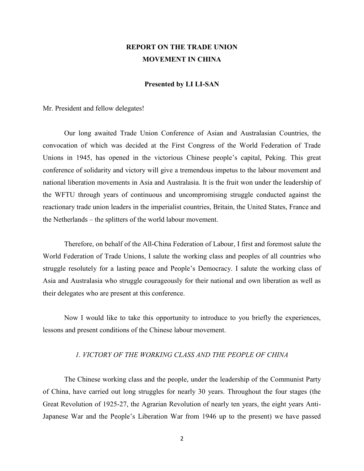# **REPORT ON THE TRADE UNION MOVEMENT IN CHINA**

#### **Presented by LI LI-SAN**

Mr. President and fellow delegates!

Our long awaited Trade Union Conference of Asian and Australasian Countries, the convocation of which was decided at the First Congress of the World Federation of Trade Unions in 1945, has opened in the victorious Chinese people's capital, Peking. This great conference of solidarity and victory will give a tremendous impetus to the labour movement and national liberation movements in Asia and Australasia. It is the fruit won under the leadership of the WFTU through years of continuous and uncompromising struggle conducted against the reactionary trade union leaders in the imperialist countries, Britain, the United States, France and the Netherlands – the splitters of the world labour movement.

Therefore, on behalf of the All-China Federation of Labour, I first and foremost salute the World Federation of Trade Unions, I salute the working class and peoples of all countries who struggle resolutely for a lasting peace and People's Democracy. I salute the working class of Asia and Australasia who struggle courageously for their national and own liberation as well as their delegates who are present at this conference.

Now I would like to take this opportunity to introduce to you briefly the experiences, lessons and present conditions of the Chinese labour movement.

# *1. VICTORY OF THE WORKING CLASS AND THE PEOPLE OF CHINA*

The Chinese working class and the people, under the leadership of the Communist Party of China, have carried out long struggles for nearly 30 years. Throughout the four stages (the Great Revolution of 1925-27, the Agrarian Revolution of nearly ten years, the eight years Anti-Japanese War and the People's Liberation War from 1946 up to the present) we have passed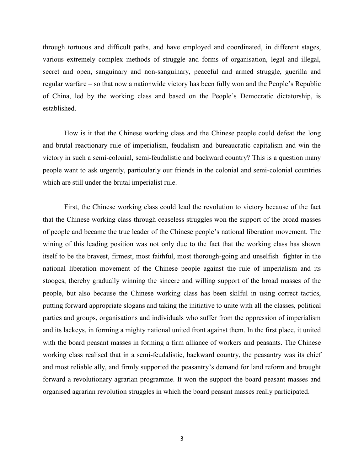through tortuous and difficult paths, and have employed and coordinated, in different stages, various extremely complex methods of struggle and forms of organisation, legal and illegal, secret and open, sanguinary and non-sanguinary, peaceful and armed struggle, guerilla and regular warfare – so that now a nationwide victory has been fully won and the People's Republic of China, led by the working class and based on the People's Democratic dictatorship, is established.

How is it that the Chinese working class and the Chinese people could defeat the long and brutal reactionary rule of imperialism, feudalism and bureaucratic capitalism and win the victory in such a semi-colonial, semi-feudalistic and backward country? This is a question many people want to ask urgently, particularly our friends in the colonial and semi-colonial countries which are still under the brutal imperialist rule.

First, the Chinese working class could lead the revolution to victory because of the fact that the Chinese working class through ceaseless struggles won the support of the broad masses of people and became the true leader of the Chinese people's national liberation movement. The wining of this leading position was not only due to the fact that the working class has shown itself to be the bravest, firmest, most faithful, most thorough-going and unselfish fighter in the national liberation movement of the Chinese people against the rule of imperialism and its stooges, thereby gradually winning the sincere and willing support of the broad masses of the people, but also because the Chinese working class has been skilful in using correct tactics, putting forward appropriate slogans and taking the initiative to unite with all the classes, political parties and groups, organisations and individuals who suffer from the oppression of imperialism and its lackeys, in forming a mighty national united front against them. In the first place, it united with the board peasant masses in forming a firm alliance of workers and peasants. The Chinese working class realised that in a semi-feudalistic, backward country, the peasantry was its chief and most reliable ally, and firmly supported the peasantry's demand for land reform and brought forward a revolutionary agrarian programme. It won the support the board peasant masses and organised agrarian revolution struggles in which the board peasant masses really participated.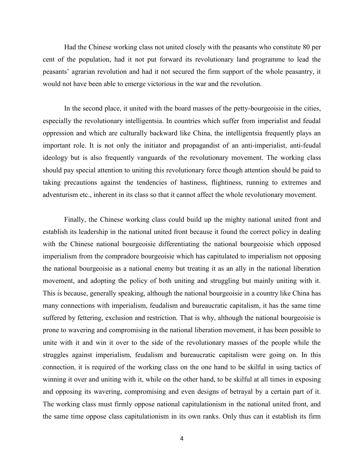Had the Chinese working class not united closely with the peasants who constitute 80 per cent of the population, had it not put forward its revolutionary land programme to lead the peasants' agrarian revolution and had it not secured the firm support of the whole peasantry, it would not have been able to emerge victorious in the war and the revolution.

In the second place, it united with the board masses of the petty-bourgeoisie in the cities, especially the revolutionary intelligentsia. In countries which suffer from imperialist and feudal oppression and which are culturally backward like China, the intelligentsia frequently plays an important role. It is not only the initiator and propagandist of an anti-imperialist, anti-feudal ideology but is also frequently vanguards of the revolutionary movement. The working class should pay special attention to uniting this revolutionary force though attention should be paid to taking precautions against the tendencies of hastiness, flightiness, running to extremes and adventurism etc., inherent in its class so that it cannot affect the whole revolutionary movement.

Finally, the Chinese working class could build up the mighty national united front and establish its leadership in the national united front because it found the correct policy in dealing with the Chinese national bourgeoisie differentiating the national bourgeoisie which opposed imperialism from the compradore bourgeoisie which has capitulated to imperialism not opposing the national bourgeoisie as a national enemy but treating it as an ally in the national liberation movement, and adopting the policy of both uniting and struggling but mainly uniting with it. This is because, generally speaking, although the national bourgeoisie in a country like China has many connections with imperialism, feudalism and bureaucratic capitalism, it has the same time suffered by fettering, exclusion and restriction. That is why, although the national bourgeoisie is prone to wavering and compromising in the national liberation movement, it has been possible to unite with it and win it over to the side of the revolutionary masses of the people while the struggles against imperialism, feudalism and bureaucratic capitalism were going on. In this connection, it is required of the working class on the one hand to be skilful in using tactics of winning it over and uniting with it, while on the other hand, to be skilful at all times in exposing and opposing its wavering, compromising and even designs of betrayal by a certain part of it. The working class must firmly oppose national capitulationism in the national united front, and the same time oppose class capitulationism in its own ranks. Only thus can it establish its firm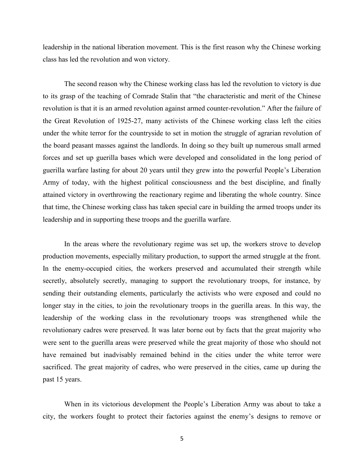leadership in the national liberation movement. This is the first reason why the Chinese working class has led the revolution and won victory.

The second reason why the Chinese working class has led the revolution to victory is due to its grasp of the teaching of Comrade Stalin that "the characteristic and merit of the Chinese revolution is that it is an armed revolution against armed counter-revolution." After the failure of the Great Revolution of 1925-27, many activists of the Chinese working class left the cities under the white terror for the countryside to set in motion the struggle of agrarian revolution of the board peasant masses against the landlords. In doing so they built up numerous small armed forces and set up guerilla bases which were developed and consolidated in the long period of guerilla warfare lasting for about 20 years until they grew into the powerful People's Liberation Army of today, with the highest political consciousness and the best discipline, and finally attained victory in overthrowing the reactionary regime and liberating the whole country. Since that time, the Chinese working class has taken special care in building the armed troops under its leadership and in supporting these troops and the guerilla warfare.

In the areas where the revolutionary regime was set up, the workers strove to develop production movements, especially military production, to support the armed struggle at the front. In the enemy-occupied cities, the workers preserved and accumulated their strength while secretly, absolutely secretly, managing to support the revolutionary troops, for instance, by sending their outstanding elements, particularly the activists who were exposed and could no longer stay in the cities, to join the revolutionary troops in the guerilla areas. In this way, the leadership of the working class in the revolutionary troops was strengthened while the revolutionary cadres were preserved. It was later borne out by facts that the great majority who were sent to the guerilla areas were preserved while the great majority of those who should not have remained but inadvisably remained behind in the cities under the white terror were sacrificed. The great majority of cadres, who were preserved in the cities, came up during the past 15 years.

When in its victorious development the People's Liberation Army was about to take a city, the workers fought to protect their factories against the enemy's designs to remove or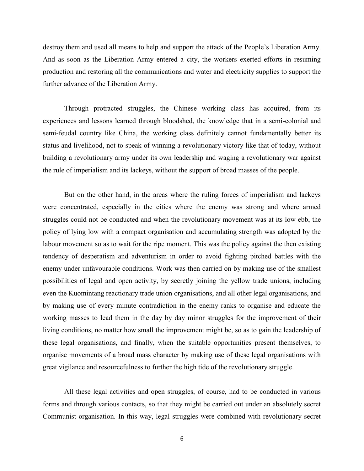destroy them and used all means to help and support the attack of the People's Liberation Army. And as soon as the Liberation Army entered a city, the workers exerted efforts in resuming production and restoring all the communications and water and electricity supplies to support the further advance of the Liberation Army.

Through protracted struggles, the Chinese working class has acquired, from its experiences and lessons learned through bloodshed, the knowledge that in a semi-colonial and semi-feudal country like China, the working class definitely cannot fundamentally better its status and livelihood, not to speak of winning a revolutionary victory like that of today, without building a revolutionary army under its own leadership and waging a revolutionary war against the rule of imperialism and its lackeys, without the support of broad masses of the people.

But on the other hand, in the areas where the ruling forces of imperialism and lackeys were concentrated, especially in the cities where the enemy was strong and where armed struggles could not be conducted and when the revolutionary movement was at its low ebb, the policy of lying low with a compact organisation and accumulating strength was adopted by the labour movement so as to wait for the ripe moment. This was the policy against the then existing tendency of desperatism and adventurism in order to avoid fighting pitched battles with the enemy under unfavourable conditions. Work was then carried on by making use of the smallest possibilities of legal and open activity, by secretly joining the yellow trade unions, including even the Kuomintang reactionary trade union organisations, and all other legal organisations, and by making use of every minute contradiction in the enemy ranks to organise and educate the working masses to lead them in the day by day minor struggles for the improvement of their living conditions, no matter how small the improvement might be, so as to gain the leadership of these legal organisations, and finally, when the suitable opportunities present themselves, to organise movements of a broad mass character by making use of these legal organisations with great vigilance and resourcefulness to further the high tide of the revolutionary struggle.

All these legal activities and open struggles, of course, had to be conducted in various forms and through various contacts, so that they might be carried out under an absolutely secret Communist organisation. In this way, legal struggles were combined with revolutionary secret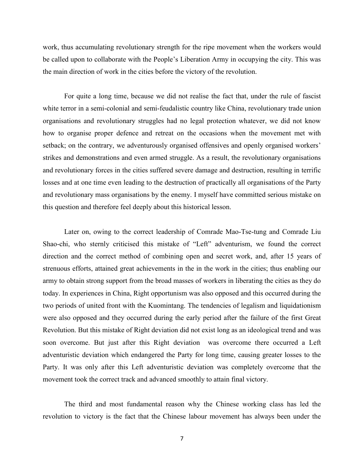work, thus accumulating revolutionary strength for the ripe movement when the workers would be called upon to collaborate with the People's Liberation Army in occupying the city. This was the main direction of work in the cities before the victory of the revolution.

For quite a long time, because we did not realise the fact that, under the rule of fascist white terror in a semi-colonial and semi-feudalistic country like China, revolutionary trade union organisations and revolutionary struggles had no legal protection whatever, we did not know how to organise proper defence and retreat on the occasions when the movement met with setback; on the contrary, we adventurously organised offensives and openly organised workers' strikes and demonstrations and even armed struggle. As a result, the revolutionary organisations and revolutionary forces in the cities suffered severe damage and destruction, resulting in terrific losses and at one time even leading to the destruction of practically all organisations of the Party and revolutionary mass organisations by the enemy. I myself have committed serious mistake on this question and therefore feel deeply about this historical lesson.

Later on, owing to the correct leadership of Comrade Mao-Tse-tung and Comrade Liu Shao-chi, who sternly criticised this mistake of "Left" adventurism, we found the correct direction and the correct method of combining open and secret work, and, after 15 years of strenuous efforts, attained great achievements in the in the work in the cities; thus enabling our army to obtain strong support from the broad masses of workers in liberating the cities as they do today. In experiences in China, Right opportunism was also opposed and this occurred during the two periods of united front with the Kuomintang. The tendencies of legalism and liquidationism were also opposed and they occurred during the early period after the failure of the first Great Revolution. But this mistake of Right deviation did not exist long as an ideological trend and was soon overcome. But just after this Right deviation was overcome there occurred a Left adventuristic deviation which endangered the Party for long time, causing greater losses to the Party. It was only after this Left adventuristic deviation was completely overcome that the movement took the correct track and advanced smoothly to attain final victory.

The third and most fundamental reason why the Chinese working class has led the revolution to victory is the fact that the Chinese labour movement has always been under the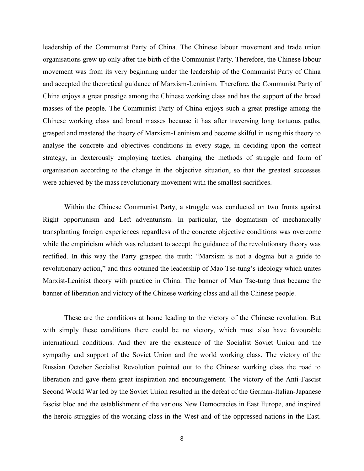leadership of the Communist Party of China. The Chinese labour movement and trade union organisations grew up only after the birth of the Communist Party. Therefore, the Chinese labour movement was from its very beginning under the leadership of the Communist Party of China and accepted the theoretical guidance of Marxism-Leninism. Therefore, the Communist Party of China enjoys a great prestige among the Chinese working class and has the support of the broad masses of the people. The Communist Party of China enjoys such a great prestige among the Chinese working class and broad masses because it has after traversing long tortuous paths, grasped and mastered the theory of Marxism-Leninism and become skilful in using this theory to analyse the concrete and objectives conditions in every stage, in deciding upon the correct strategy, in dexterously employing tactics, changing the methods of struggle and form of organisation according to the change in the objective situation, so that the greatest successes were achieved by the mass revolutionary movement with the smallest sacrifices.

Within the Chinese Communist Party, a struggle was conducted on two fronts against Right opportunism and Left adventurism. In particular, the dogmatism of mechanically transplanting foreign experiences regardless of the concrete objective conditions was overcome while the empiricism which was reluctant to accept the guidance of the revolutionary theory was rectified. In this way the Party grasped the truth: "Marxism is not a dogma but a guide to revolutionary action," and thus obtained the leadership of Mao Tse-tung's ideology which unites Marxist-Leninist theory with practice in China. The banner of Mao Tse-tung thus became the banner of liberation and victory of the Chinese working class and all the Chinese people.

These are the conditions at home leading to the victory of the Chinese revolution. But with simply these conditions there could be no victory, which must also have favourable international conditions. And they are the existence of the Socialist Soviet Union and the sympathy and support of the Soviet Union and the world working class. The victory of the Russian October Socialist Revolution pointed out to the Chinese working class the road to liberation and gave them great inspiration and encouragement. The victory of the Anti-Fascist Second World War led by the Soviet Union resulted in the defeat of the German-Italian-Japanese fascist bloc and the establishment of the various New Democracies in East Europe, and inspired the heroic struggles of the working class in the West and of the oppressed nations in the East.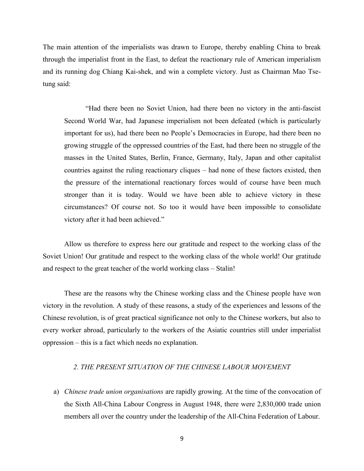The main attention of the imperialists was drawn to Europe, thereby enabling China to break through the imperialist front in the East, to defeat the reactionary rule of American imperialism and its running dog Chiang Kai-shek, and win a complete victory. Just as Chairman Mao Tsetung said:

"Had there been no Soviet Union, had there been no victory in the anti-fascist Second World War, had Japanese imperialism not been defeated (which is particularly important for us), had there been no People's Democracies in Europe, had there been no growing struggle of the oppressed countries of the East, had there been no struggle of the masses in the United States, Berlin, France, Germany, Italy, Japan and other capitalist countries against the ruling reactionary cliques – had none of these factors existed, then the pressure of the international reactionary forces would of course have been much stronger than it is today. Would we have been able to achieve victory in these circumstances? Of course not. So too it would have been impossible to consolidate victory after it had been achieved."

Allow us therefore to express here our gratitude and respect to the working class of the Soviet Union! Our gratitude and respect to the working class of the whole world! Our gratitude and respect to the great teacher of the world working class – Stalin!

These are the reasons why the Chinese working class and the Chinese people have won victory in the revolution. A study of these reasons, a study of the experiences and lessons of the Chinese revolution, is of great practical significance not only to the Chinese workers, but also to every worker abroad, particularly to the workers of the Asiatic countries still under imperialist oppression – this is a fact which needs no explanation.

# *2. THE PRESENT SITUATION OF THE CHINESE LABOUR MOVEMENT*

a) *Chinese trade union organisations* are rapidly growing. At the time of the convocation of the Sixth All-China Labour Congress in August 1948, there were 2,830,000 trade union members all over the country under the leadership of the All-China Federation of Labour.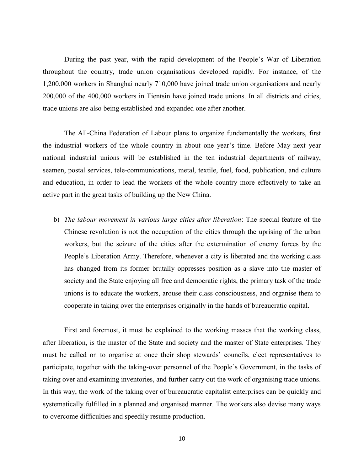During the past year, with the rapid development of the People's War of Liberation throughout the country, trade union organisations developed rapidly. For instance, of the 1,200,000 workers in Shanghai nearly 710,000 have joined trade union organisations and nearly 200,000 of the 400,000 workers in Tientsin have joined trade unions. In all districts and cities, trade unions are also being established and expanded one after another.

The All-China Federation of Labour plans to organize fundamentally the workers, first the industrial workers of the whole country in about one year's time. Before May next year national industrial unions will be established in the ten industrial departments of railway, seamen, postal services, tele-communications, metal, textile, fuel, food, publication, and culture and education, in order to lead the workers of the whole country more effectively to take an active part in the great tasks of building up the New China.

b) *The labour movement in various large cities after liberation*: The special feature of the Chinese revolution is not the occupation of the cities through the uprising of the urban workers, but the seizure of the cities after the extermination of enemy forces by the People's Liberation Army. Therefore, whenever a city is liberated and the working class has changed from its former brutally oppresses position as a slave into the master of society and the State enjoying all free and democratic rights, the primary task of the trade unions is to educate the workers, arouse their class consciousness, and organise them to cooperate in taking over the enterprises originally in the hands of bureaucratic capital.

First and foremost, it must be explained to the working masses that the working class, after liberation, is the master of the State and society and the master of State enterprises. They must be called on to organise at once their shop stewards' councils, elect representatives to participate, together with the taking-over personnel of the People's Government, in the tasks of taking over and examining inventories, and further carry out the work of organising trade unions. In this way, the work of the taking over of bureaucratic capitalist enterprises can be quickly and systematically fulfilled in a planned and organised manner. The workers also devise many ways to overcome difficulties and speedily resume production.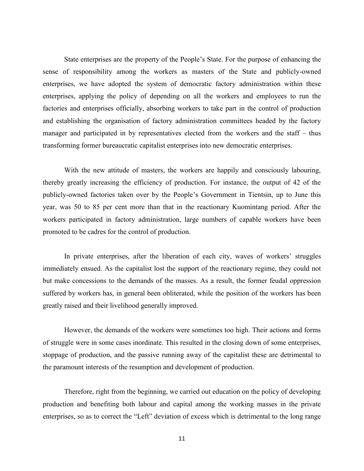State enterprises are the property of the People's State. For the purpose of enhancing the sense of responsibility among the workers as masters of the State and publicly-owned enterprises, we have adopted the system of democratic factory administration within these enterprises, applying the policy of depending on all the workers and employees to run the factories and enterprises officially, absorbing workers to take part in the control of production and establishing the organisation of factory administration committees headed by the factory manager and participated in by representatives elected from the workers and the staff – thus transforming former bureaucratic capitalist enterprises into new democratic enterprises.

With the new attitude of masters, the workers are happily and consciously labouring, thereby greatly increasing the efficiency of production. For instance, the output of 42 of the publicly-owned factories taken over by the People's Government in Tientsin, up to June this year, was 50 to 85 per cent more than that in the reactionary Kuomintang period. After the workers participated in factory administration, large numbers of capable workers have been promoted to be cadres for the control of production.

In private enterprises, after the liberation of each city, waves of workers' struggles immediately ensued. As the capitalist lost the support of the reactionary regime, they could not but make concessions to the demands of the masses. As a result, the former feudal oppression suffered by workers has, in general been obliterated, while the position of the workers has been greatly raised and their livelihood generally improved.

However, the demands of the workers were sometimes too high. Their actions and forms of struggle were in some cases inordinate. This resulted in the closing down of some enterprises, stoppage of production, and the passive running away of the capitalist these are detrimental to the paramount interests of the resumption and development of production.

Therefore, right from the beginning, we carried out education on the policy of developing production and benefiting both labour and capital among the working masses in the private enterprises, so as to correct the "Left" deviation of excess which is detrimental to the long range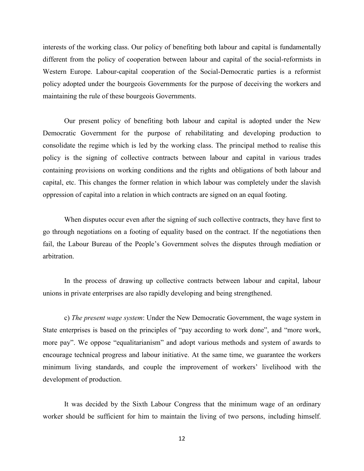interests of the working class. Our policy of benefiting both labour and capital is fundamentally different from the policy of cooperation between labour and capital of the social-reformists in Western Europe. Labour-capital cooperation of the Social-Democratic parties is a reformist policy adopted under the bourgeois Governments for the purpose of deceiving the workers and maintaining the rule of these bourgeois Governments.

Our present policy of benefiting both labour and capital is adopted under the New Democratic Government for the purpose of rehabilitating and developing production to consolidate the regime which is led by the working class. The principal method to realise this policy is the signing of collective contracts between labour and capital in various trades containing provisions on working conditions and the rights and obligations of both labour and capital, etc. This changes the former relation in which labour was completely under the slavish oppression of capital into a relation in which contracts are signed on an equal footing.

When disputes occur even after the signing of such collective contracts, they have first to go through negotiations on a footing of equality based on the contract. If the negotiations then fail, the Labour Bureau of the People's Government solves the disputes through mediation or arbitration.

In the process of drawing up collective contracts between labour and capital, labour unions in private enterprises are also rapidly developing and being strengthened.

c) *The present wage system*: Under the New Democratic Government, the wage system in State enterprises is based on the principles of "pay according to work done", and "more work, more pay". We oppose "equalitarianism" and adopt various methods and system of awards to encourage technical progress and labour initiative. At the same time, we guarantee the workers minimum living standards, and couple the improvement of workers' livelihood with the development of production.

It was decided by the Sixth Labour Congress that the minimum wage of an ordinary worker should be sufficient for him to maintain the living of two persons, including himself.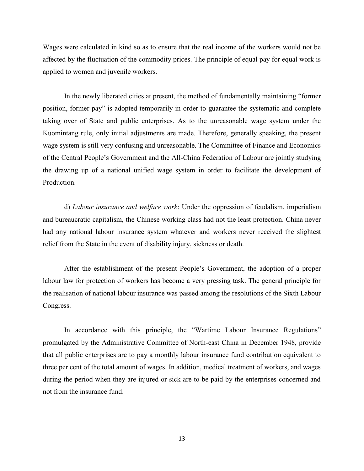Wages were calculated in kind so as to ensure that the real income of the workers would not be affected by the fluctuation of the commodity prices. The principle of equal pay for equal work is applied to women and juvenile workers.

In the newly liberated cities at present, the method of fundamentally maintaining "former position, former pay" is adopted temporarily in order to guarantee the systematic and complete taking over of State and public enterprises. As to the unreasonable wage system under the Kuomintang rule, only initial adjustments are made. Therefore, generally speaking, the present wage system is still very confusing and unreasonable. The Committee of Finance and Economics of the Central People's Government and the All-China Federation of Labour are jointly studying the drawing up of a national unified wage system in order to facilitate the development of **Production** 

d) *Labour insurance and welfare work*: Under the oppression of feudalism, imperialism and bureaucratic capitalism, the Chinese working class had not the least protection. China never had any national labour insurance system whatever and workers never received the slightest relief from the State in the event of disability injury, sickness or death.

After the establishment of the present People's Government, the adoption of a proper labour law for protection of workers has become a very pressing task. The general principle for the realisation of national labour insurance was passed among the resolutions of the Sixth Labour Congress.

In accordance with this principle, the "Wartime Labour Insurance Regulations" promulgated by the Administrative Committee of North-east China in December 1948, provide that all public enterprises are to pay a monthly labour insurance fund contribution equivalent to three per cent of the total amount of wages. In addition, medical treatment of workers, and wages during the period when they are injured or sick are to be paid by the enterprises concerned and not from the insurance fund.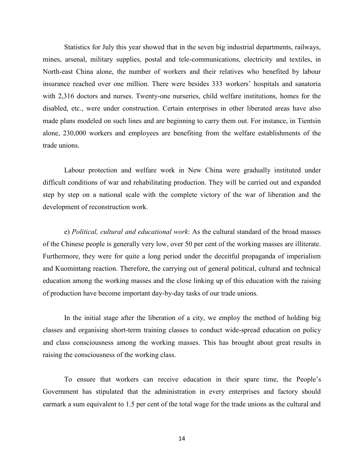Statistics for July this year showed that in the seven big industrial departments, railways, mines, arsenal, military supplies, postal and tele-communications, electricity and textiles, in North-east China alone, the number of workers and their relatives who benefited by labour insurance reached over one million. There were besides 333 workers' hospitals and sanatoria with 2,316 doctors and nurses. Twenty-one nurseries, child welfare institutions, homes for the disabled, etc., were under construction. Certain enterprises in other liberated areas have also made plans modeled on such lines and are beginning to carry them out. For instance, in Tientsin alone, 230,000 workers and employees are benefiting from the welfare establishments of the trade unions.

Labour protection and welfare work in New China were gradually instituted under difficult conditions of war and rehabilitating production. They will be carried out and expanded step by step on a national scale with the complete victory of the war of liberation and the development of reconstruction work.

e) *Political, cultural and educational work*: As the cultural standard of the broad masses of the Chinese people is generally very low, over 50 per cent of the working masses are illiterate. Furthermore, they were for quite a long period under the deceitful propaganda of imperialism and Kuomintang reaction. Therefore, the carrying out of general political, cultural and technical education among the working masses and the close linking up of this education with the raising of production have become important day-by-day tasks of our trade unions.

In the initial stage after the liberation of a city, we employ the method of holding big classes and organising short-term training classes to conduct wide-spread education on policy and class consciousness among the working masses. This has brought about great results in raising the consciousness of the working class.

To ensure that workers can receive education in their spare time, the People's Government has stipulated that the administration in every enterprises and factory should earmark a sum equivalent to 1.5 per cent of the total wage for the trade unions as the cultural and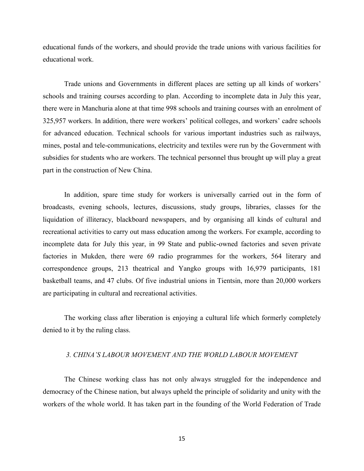educational funds of the workers, and should provide the trade unions with various facilities for educational work.

Trade unions and Governments in different places are setting up all kinds of workers' schools and training courses according to plan. According to incomplete data in July this year, there were in Manchuria alone at that time 998 schools and training courses with an enrolment of 325,957 workers. In addition, there were workers' political colleges, and workers' cadre schools for advanced education. Technical schools for various important industries such as railways, mines, postal and tele-communications, electricity and textiles were run by the Government with subsidies for students who are workers. The technical personnel thus brought up will play a great part in the construction of New China.

In addition, spare time study for workers is universally carried out in the form of broadcasts, evening schools, lectures, discussions, study groups, libraries, classes for the liquidation of illiteracy, blackboard newspapers, and by organising all kinds of cultural and recreational activities to carry out mass education among the workers. For example, according to incomplete data for July this year, in 99 State and public-owned factories and seven private factories in Mukden, there were 69 radio programmes for the workers, 564 literary and correspondence groups, 213 theatrical and Yangko groups with 16,979 participants, 181 basketball teams, and 47 clubs. Of five industrial unions in Tientsin, more than 20,000 workers are participating in cultural and recreational activities.

The working class after liberation is enjoying a cultural life which formerly completely denied to it by the ruling class.

#### *3. CHINA'S LABOUR MOVEMENT AND THE WORLD LABOUR MOVEMENT*

The Chinese working class has not only always struggled for the independence and democracy of the Chinese nation, but always upheld the principle of solidarity and unity with the workers of the whole world. It has taken part in the founding of the World Federation of Trade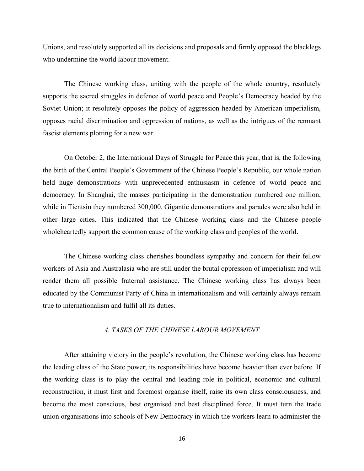Unions, and resolutely supported all its decisions and proposals and firmly opposed the blacklegs who undermine the world labour movement.

The Chinese working class, uniting with the people of the whole country, resolutely supports the sacred struggles in defence of world peace and People's Democracy headed by the Soviet Union; it resolutely opposes the policy of aggression headed by American imperialism, opposes racial discrimination and oppression of nations, as well as the intrigues of the remnant fascist elements plotting for a new war.

On October 2, the International Days of Struggle for Peace this year, that is, the following the birth of the Central People's Government of the Chinese People's Republic, our whole nation held huge demonstrations with unprecedented enthusiasm in defence of world peace and democracy. In Shanghai, the masses participating in the demonstration numbered one million, while in Tientsin they numbered 300,000. Gigantic demonstrations and parades were also held in other large cities. This indicated that the Chinese working class and the Chinese people wholeheartedly support the common cause of the working class and peoples of the world.

The Chinese working class cherishes boundless sympathy and concern for their fellow workers of Asia and Australasia who are still under the brutal oppression of imperialism and will render them all possible fraternal assistance. The Chinese working class has always been educated by the Communist Party of China in internationalism and will certainly always remain true to internationalism and fulfil all its duties.

### *4. TASKS OF THE CHINESE LABOUR MOVEMENT*

After attaining victory in the people's revolution, the Chinese working class has become the leading class of the State power; its responsibilities have become heavier than ever before. If the working class is to play the central and leading role in political, economic and cultural reconstruction, it must first and foremost organise itself, raise its own class consciousness, and become the most conscious, best organised and best disciplined force. It must turn the trade union organisations into schools of New Democracy in which the workers learn to administer the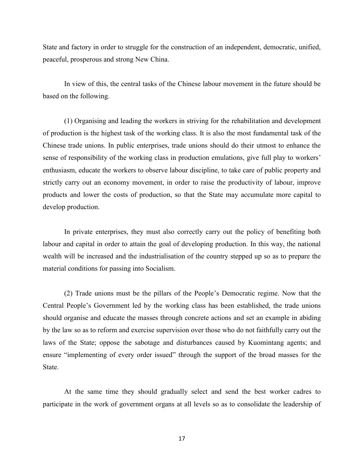State and factory in order to struggle for the construction of an independent, democratic, unified, peaceful, prosperous and strong New China.

In view of this, the central tasks of the Chinese labour movement in the future should be based on the following.

(1) Organising and leading the workers in striving for the rehabilitation and development of production is the highest task of the working class. It is also the most fundamental task of the Chinese trade unions. In public enterprises, trade unions should do their utmost to enhance the sense of responsibility of the working class in production emulations, give full play to workers' enthusiasm, educate the workers to observe labour discipline, to take care of public property and strictly carry out an economy movement, in order to raise the productivity of labour, improve products and lower the costs of production, so that the State may accumulate more capital to develop production.

In private enterprises, they must also correctly carry out the policy of benefiting both labour and capital in order to attain the goal of developing production. In this way, the national wealth will be increased and the industrialisation of the country stepped up so as to prepare the material conditions for passing into Socialism.

(2) Trade unions must be the pillars of the People's Democratic regime. Now that the Central People's Government led by the working class has been established, the trade unions should organise and educate the masses through concrete actions and set an example in abiding by the law so as to reform and exercise supervision over those who do not faithfully carry out the laws of the State; oppose the sabotage and disturbances caused by Kuomintang agents; and ensure "implementing of every order issued" through the support of the broad masses for the State.

At the same time they should gradually select and send the best worker cadres to participate in the work of government organs at all levels so as to consolidate the leadership of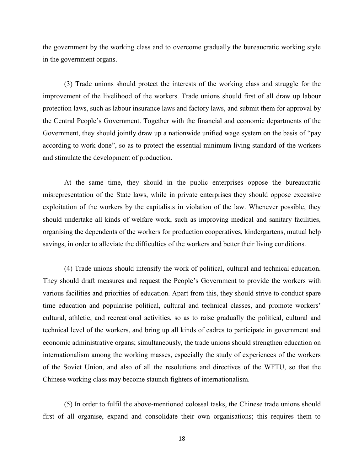the government by the working class and to overcome gradually the bureaucratic working style in the government organs.

(3) Trade unions should protect the interests of the working class and struggle for the improvement of the livelihood of the workers. Trade unions should first of all draw up labour protection laws, such as labour insurance laws and factory laws, and submit them for approval by the Central People's Government. Together with the financial and economic departments of the Government, they should jointly draw up a nationwide unified wage system on the basis of "pay according to work done", so as to protect the essential minimum living standard of the workers and stimulate the development of production.

At the same time, they should in the public enterprises oppose the bureaucratic misrepresentation of the State laws, while in private enterprises they should oppose excessive exploitation of the workers by the capitalists in violation of the law. Whenever possible, they should undertake all kinds of welfare work, such as improving medical and sanitary facilities, organising the dependents of the workers for production cooperatives, kindergartens, mutual help savings, in order to alleviate the difficulties of the workers and better their living conditions.

(4) Trade unions should intensify the work of political, cultural and technical education. They should draft measures and request the People's Government to provide the workers with various facilities and priorities of education. Apart from this, they should strive to conduct spare time education and popularise political, cultural and technical classes, and promote workers' cultural, athletic, and recreational activities, so as to raise gradually the political, cultural and technical level of the workers, and bring up all kinds of cadres to participate in government and economic administrative organs; simultaneously, the trade unions should strengthen education on internationalism among the working masses, especially the study of experiences of the workers of the Soviet Union, and also of all the resolutions and directives of the WFTU, so that the Chinese working class may become staunch fighters of internationalism.

(5) In order to fulfil the above-mentioned colossal tasks, the Chinese trade unions should first of all organise, expand and consolidate their own organisations; this requires them to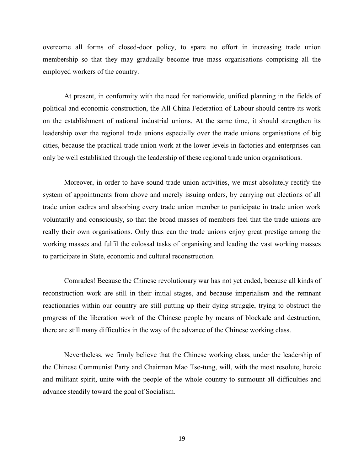overcome all forms of closed-door policy, to spare no effort in increasing trade union membership so that they may gradually become true mass organisations comprising all the employed workers of the country.

At present, in conformity with the need for nationwide, unified planning in the fields of political and economic construction, the All-China Federation of Labour should centre its work on the establishment of national industrial unions. At the same time, it should strengthen its leadership over the regional trade unions especially over the trade unions organisations of big cities, because the practical trade union work at the lower levels in factories and enterprises can only be well established through the leadership of these regional trade union organisations.

Moreover, in order to have sound trade union activities, we must absolutely rectify the system of appointments from above and merely issuing orders, by carrying out elections of all trade union cadres and absorbing every trade union member to participate in trade union work voluntarily and consciously, so that the broad masses of members feel that the trade unions are really their own organisations. Only thus can the trade unions enjoy great prestige among the working masses and fulfil the colossal tasks of organising and leading the vast working masses to participate in State, economic and cultural reconstruction.

Comrades! Because the Chinese revolutionary war has not yet ended, because all kinds of reconstruction work are still in their initial stages, and because imperialism and the remnant reactionaries within our country are still putting up their dying struggle, trying to obstruct the progress of the liberation work of the Chinese people by means of blockade and destruction, there are still many difficulties in the way of the advance of the Chinese working class.

Nevertheless, we firmly believe that the Chinese working class, under the leadership of the Chinese Communist Party and Chairman Mao Tse-tung, will, with the most resolute, heroic and militant spirit, unite with the people of the whole country to surmount all difficulties and advance steadily toward the goal of Socialism.